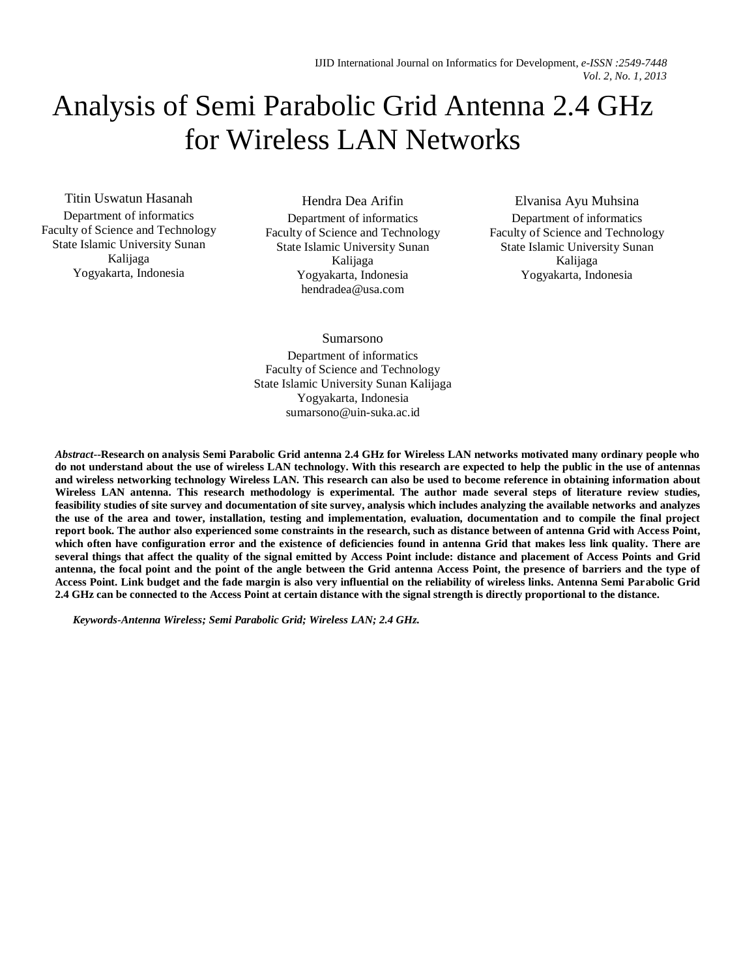# Analysis of Semi Parabolic Grid Antenna 2.4 GHz for Wireless LAN Networks

Titin Uswatun Hasanah

Department of informatics Faculty of Science and Technology State Islamic University Sunan Kalijaga Yogyakarta, Indonesia

Hendra Dea Arifin

Department of informatics Faculty of Science and Technology State Islamic University Sunan Kalijaga Yogyakarta, Indonesia hendradea@usa.com

Elvanisa Ayu Muhsina

Department of informatics Faculty of Science and Technology State Islamic University Sunan Kalijaga Yogyakarta, Indonesia

Sumarsono

Department of informatics Faculty of Science and Technology State Islamic University Sunan Kalijaga Yogyakarta, Indonesia sumarsono@uin-suka.ac.id

*Abstract***--Research on analysis Semi Parabolic Grid antenna 2.4 GHz for Wireless LAN networks motivated many ordinary people who do not understand about the use of wireless LAN technology. With this research are expected to help the public in the use of antennas and wireless networking technology Wireless LAN. This research can also be used to become reference in obtaining information about Wireless LAN antenna. This research methodology is experimental. The author made several steps of literature review studies, feasibility studies of site survey and documentation of site survey, analysis which includes analyzing the available networks and analyzes the use of the area and tower, installation, testing and implementation, evaluation, documentation and to compile the final project report book. The author also experienced some constraints in the research, such as distance between of antenna Grid with Access Point, which often have configuration error and the existence of deficiencies found in antenna Grid that makes less link quality. There are several things that affect the quality of the signal emitted by Access Point include: distance and placement of Access Points and Grid antenna, the focal point and the point of the angle between the Grid antenna Access Point, the presence of barriers and the type of Access Point. Link budget and the fade margin is also very influential on the reliability of wireless links. Antenna Semi Parabolic Grid 2.4 GHz can be connected to the Access Point at certain distance with the signal strength is directly proportional to the distance.**

*Keywords-Antenna Wireless; Semi Parabolic Grid; Wireless LAN; 2.4 GHz.*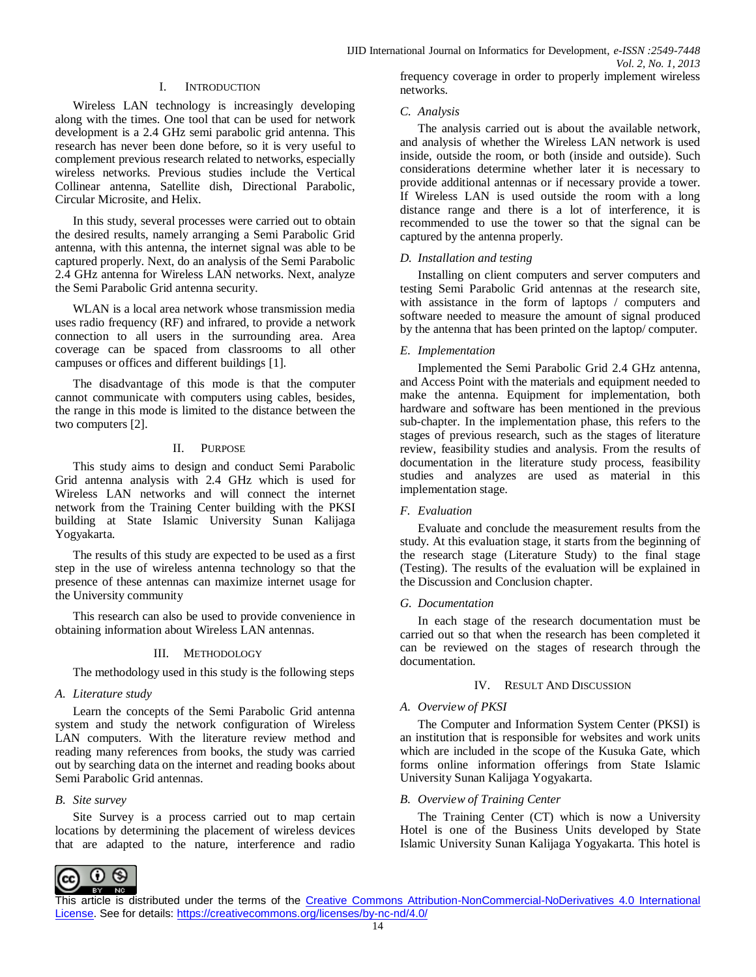## I. INTRODUCTION

Wireless LAN technology is increasingly developing along with the times. One tool that can be used for network development is a 2.4 GHz semi parabolic grid antenna. This research has never been done before, so it is very useful to complement previous research related to networks, especially wireless networks. Previous studies include the Vertical Collinear antenna, Satellite dish, Directional Parabolic, Circular Microsite, and Helix.

In this study, several processes were carried out to obtain the desired results, namely arranging a Semi Parabolic Grid antenna, with this antenna, the internet signal was able to be captured properly. Next, do an analysis of the Semi Parabolic 2.4 GHz antenna for Wireless LAN networks. Next, analyze the Semi Parabolic Grid antenna security.

WLAN is a local area network whose transmission media uses radio frequency (RF) and infrared, to provide a network connection to all users in the surrounding area. Area coverage can be spaced from classrooms to all other campuses or offices and different buildings [1].

The disadvantage of this mode is that the computer cannot communicate with computers using cables, besides, the range in this mode is limited to the distance between the two computers [2].

#### II. PURPOSE

This study aims to design and conduct Semi Parabolic Grid antenna analysis with 2.4 GHz which is used for Wireless LAN networks and will connect the internet network from the Training Center building with the PKSI building at State Islamic University Sunan Kalijaga Yogyakarta.

The results of this study are expected to be used as a first step in the use of wireless antenna technology so that the presence of these antennas can maximize internet usage for the University community

This research can also be used to provide convenience in obtaining information about Wireless LAN antennas.

#### III. METHODOLOGY

The methodology used in this study is the following steps

#### *A. Literature study*

Learn the concepts of the Semi Parabolic Grid antenna system and study the network configuration of Wireless LAN computers. With the literature review method and reading many references from books, the study was carried out by searching data on the internet and reading books about Semi Parabolic Grid antennas.

#### *B. Site survey*

Site Survey is a process carried out to map certain locations by determining the placement of wireless devices that are adapted to the nature, interference and radio

networks.

#### *C. Analysis*

The analysis carried out is about the available network, and analysis of whether the Wireless LAN network is used inside, outside the room, or both (inside and outside). Such considerations determine whether later it is necessary to provide additional antennas or if necessary provide a tower. If Wireless LAN is used outside the room with a long distance range and there is a lot of interference, it is recommended to use the tower so that the signal can be captured by the antenna properly.

## *D. Installation and testing*

Installing on client computers and server computers and testing Semi Parabolic Grid antennas at the research site, with assistance in the form of laptops / computers and software needed to measure the amount of signal produced by the antenna that has been printed on the laptop/ computer.

## *E. Implementation*

Implemented the Semi Parabolic Grid 2.4 GHz antenna, and Access Point with the materials and equipment needed to make the antenna. Equipment for implementation, both hardware and software has been mentioned in the previous sub-chapter. In the implementation phase, this refers to the stages of previous research, such as the stages of literature review, feasibility studies and analysis. From the results of documentation in the literature study process, feasibility studies and analyzes are used as material in this implementation stage.

# *F. Evaluation*

Evaluate and conclude the measurement results from the study. At this evaluation stage, it starts from the beginning of the research stage (Literature Study) to the final stage (Testing). The results of the evaluation will be explained in the Discussion and Conclusion chapter.

#### *G. Documentation*

In each stage of the research documentation must be carried out so that when the research has been completed it can be reviewed on the stages of research through the documentation.

#### IV. RESULT AND DISCUSSION

# *A. Overview of PKSI*

The Computer and Information System Center (PKSI) is an institution that is responsible for websites and work units which are included in the scope of the Kusuka Gate, which forms online information offerings from State Islamic University Sunan Kalijaga Yogyakarta.

#### *B. Overview of Training Center*

The Training Center (CT) which is now a University Hotel is one of the Business Units developed by State Islamic University Sunan Kalijaga Yogyakarta. This hotel is

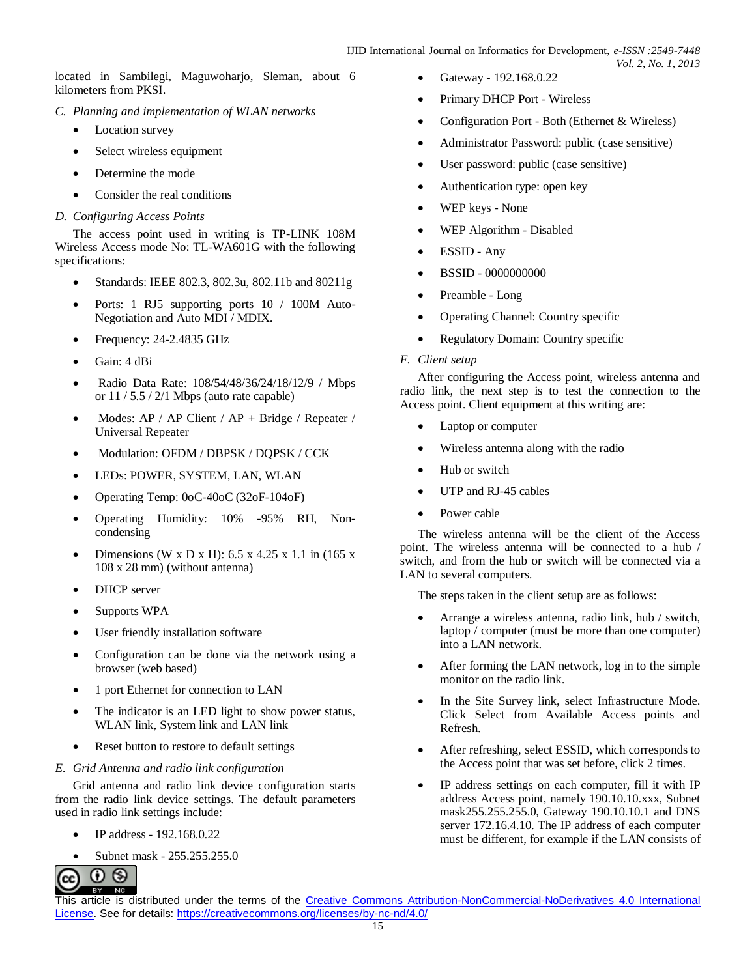located in Sambilegi, Maguwoharjo, Sleman, about 6 kilometers from PKSI.

- *C. Planning and implementation of WLAN networks*
	- Location survey
	- Select wireless equipment
	- Determine the mode
	- Consider the real conditions
- *D. Configuring Access Points*

The access point used in writing is TP-LINK 108M Wireless Access mode No: TL-WA601G with the following specifications:

- Standards: IEEE 802.3, 802.3u, 802.11b and 80211g
- Ports: 1 RJ5 supporting ports 10 / 100M Auto-Negotiation and Auto MDI / MDIX.
- Frequency: 24-2.4835 GHz
- Gain: 4 dBi
- Radio Data Rate: 108/54/48/36/24/18/12/9 / Mbps or  $11/5.5/2/1$  Mbps (auto rate capable)
- Modes: AP / AP Client / AP + Bridge / Repeater / Universal Repeater
- $\bullet$  Modulation: OFDM / DBPSK / DQPSK / CCK
- LEDs: POWER, SYSTEM, LAN, WLAN
- Operating Temp: 0oC-40oC (32oF-104oF)
- Operating Humidity: 10% -95% RH, Noncondensing
- Dimensions (W x D x H):  $6.5 \times 4.25 \times 1.1$  in (165 x) 108 x 28 mm) (without antenna)
- DHCP server
- Supports WPA
- User friendly installation software
- Configuration can be done via the network using a browser (web based)
- 1 port Ethernet for connection to LAN
- The indicator is an LED light to show power status, WLAN link, System link and LAN link
- Reset button to restore to default settings
- *E. Grid Antenna and radio link configuration*

Grid antenna and radio link device configuration starts from the radio link device settings. The default parameters used in radio link settings include:

- IP address 192.168.0.22
- Subnet mask 255.255.255.0



- Gateway 192.168.0.22
- Primary DHCP Port Wireless
- Configuration Port Both (Ethernet & Wireless)
- Administrator Password: public (case sensitive)
- User password: public (case sensitive)
- Authentication type: open key
- WEP keys None
- WEP Algorithm Disabled
- ESSID Any
- BSSID 0000000000
- Preamble Long
- Operating Channel: Country specific
- Regulatory Domain: Country specific
- *F. Client setup*

After configuring the Access point, wireless antenna and radio link, the next step is to test the connection to the Access point. Client equipment at this writing are:

- Laptop or computer
- Wireless antenna along with the radio
- Hub or switch
- UTP and RJ-45 cables
- Power cable

The wireless antenna will be the client of the Access point. The wireless antenna will be connected to a hub / switch, and from the hub or switch will be connected via a LAN to several computers.

The steps taken in the client setup are as follows:

- Arrange a wireless antenna, radio link, hub / switch, laptop / computer (must be more than one computer) into a LAN network.
- After forming the LAN network, log in to the simple monitor on the radio link.
- In the Site Survey link, select Infrastructure Mode. Click Select from Available Access points and Refresh.
- After refreshing, select ESSID, which corresponds to the Access point that was set before, click 2 times.
- IP address settings on each computer, fill it with IP address Access point, namely 190.10.10.xxx, Subnet mask255.255.255.0, Gateway 190.10.10.1 and DNS server 172.16.4.10. The IP address of each computer must be different, for example if the LAN consists of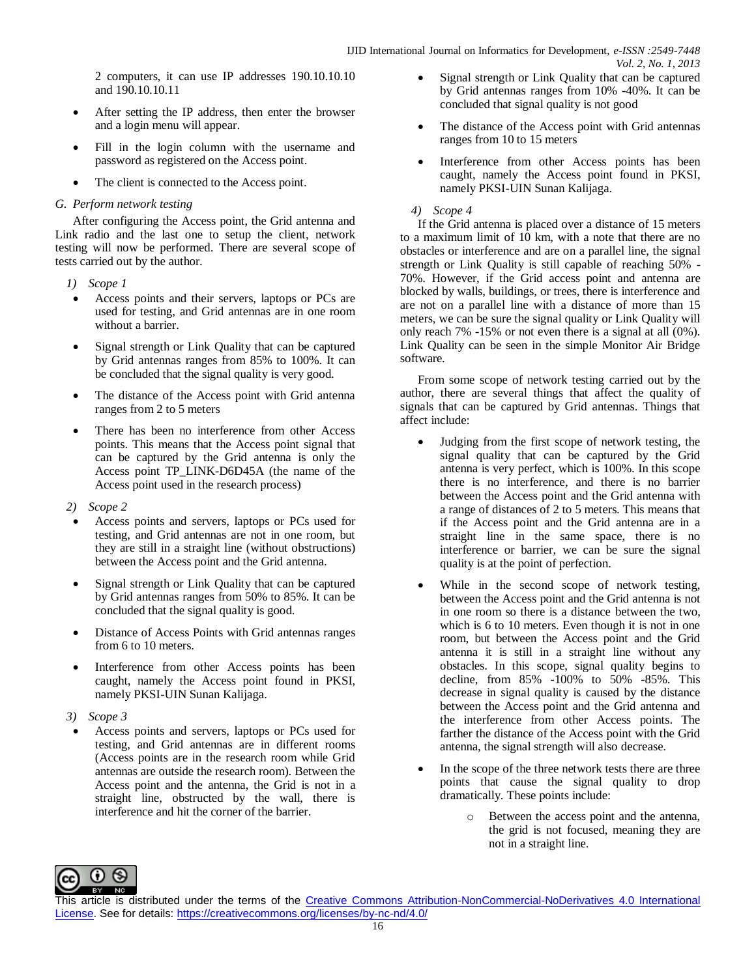2 computers, it can use IP addresses 190.10.10.10 and 190.10.10.11

- After setting the IP address, then enter the browser and a login menu will appear.
- Fill in the login column with the username and password as registered on the Access point.
- The client is connected to the Access point.

# *G. Perform network testing*

After configuring the Access point, the Grid antenna and Link radio and the last one to setup the client, network testing will now be performed. There are several scope of tests carried out by the author.

- *1) Scope 1*
- Access points and their servers, laptops or PCs are used for testing, and Grid antennas are in one room without a barrier.
- Signal strength or Link Quality that can be captured by Grid antennas ranges from 85% to 100%. It can be concluded that the signal quality is very good.
- The distance of the Access point with Grid antenna ranges from 2 to 5 meters
- There has been no interference from other Access points. This means that the Access point signal that can be captured by the Grid antenna is only the Access point TP\_LINK-D6D45A (the name of the Access point used in the research process)
- *2) Scope 2*
- Access points and servers, laptops or PCs used for testing, and Grid antennas are not in one room, but they are still in a straight line (without obstructions) between the Access point and the Grid antenna.
- Signal strength or Link Quality that can be captured by Grid antennas ranges from 50% to 85%. It can be concluded that the signal quality is good.
- Distance of Access Points with Grid antennas ranges from 6 to 10 meters.
- Interference from other Access points has been caught, namely the Access point found in PKSI, namely PKSI-UIN Sunan Kalijaga.
- *3) Scope 3*
- Access points and servers, laptops or PCs used for testing, and Grid antennas are in different rooms (Access points are in the research room while Grid antennas are outside the research room). Between the Access point and the antenna, the Grid is not in a straight line, obstructed by the wall, there is interference and hit the corner of the barrier.
- Signal strength or Link Quality that can be captured by Grid antennas ranges from 10% -40%. It can be concluded that signal quality is not good
- The distance of the Access point with Grid antennas ranges from 10 to 15 meters
- Interference from other Access points has been caught, namely the Access point found in PKSI, namely PKSI-UIN Sunan Kalijaga.

## *4) Scope 4*

If the Grid antenna is placed over a distance of 15 meters to a maximum limit of 10 km, with a note that there are no obstacles or interference and are on a parallel line, the signal strength or Link Quality is still capable of reaching 50% - 70%. However, if the Grid access point and antenna are blocked by walls, buildings, or trees, there is interference and are not on a parallel line with a distance of more than 15 meters, we can be sure the signal quality or Link Quality will only reach 7% -15% or not even there is a signal at all (0%). Link Quality can be seen in the simple Monitor Air Bridge software.

From some scope of network testing carried out by the author, there are several things that affect the quality of signals that can be captured by Grid antennas. Things that affect include:

- Judging from the first scope of network testing, the signal quality that can be captured by the Grid antenna is very perfect, which is 100%. In this scope there is no interference, and there is no barrier between the Access point and the Grid antenna with a range of distances of 2 to 5 meters. This means that if the Access point and the Grid antenna are in a straight line in the same space, there is no interference or barrier, we can be sure the signal quality is at the point of perfection.
- While in the second scope of network testing, between the Access point and the Grid antenna is not in one room so there is a distance between the two, which is 6 to 10 meters. Even though it is not in one room, but between the Access point and the Grid antenna it is still in a straight line without any obstacles. In this scope, signal quality begins to decline, from 85% -100% to 50% -85%. This decrease in signal quality is caused by the distance between the Access point and the Grid antenna and the interference from other Access points. The farther the distance of the Access point with the Grid antenna, the signal strength will also decrease.
- In the scope of the three network tests there are three points that cause the signal quality to drop dramatically. These points include:
	- Between the access point and the antenna, the grid is not focused, meaning they are not in a straight line.

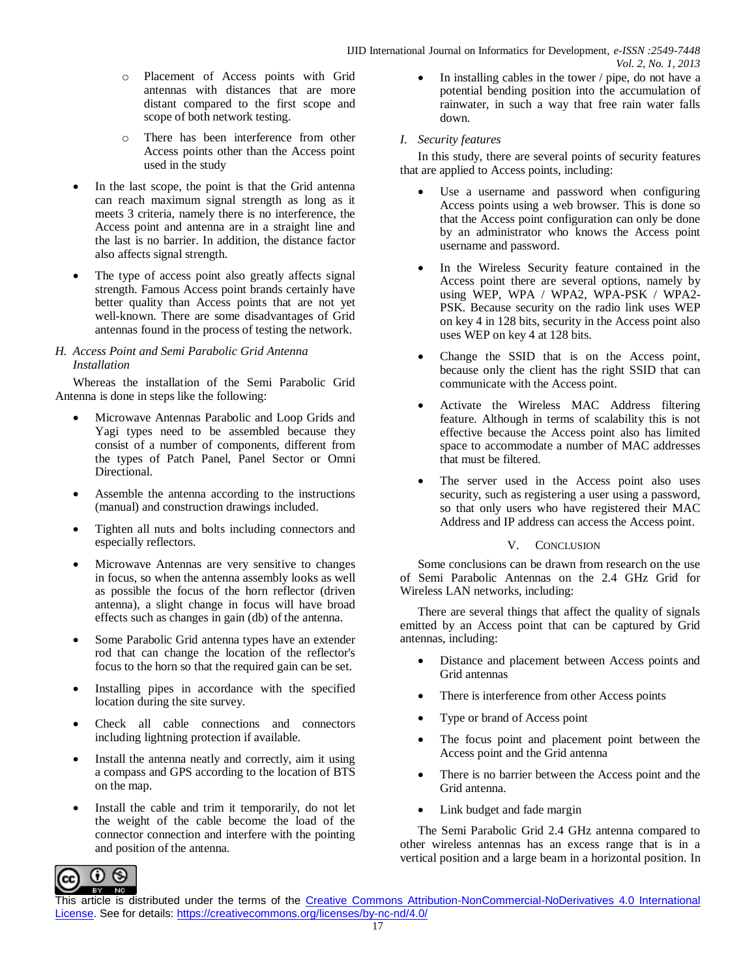- o Placement of Access points with Grid antennas with distances that are more distant compared to the first scope and scope of both network testing.
- o There has been interference from other Access points other than the Access point used in the study
- In the last scope, the point is that the Grid antenna can reach maximum signal strength as long as it meets 3 criteria, namely there is no interference, the Access point and antenna are in a straight line and the last is no barrier. In addition, the distance factor also affects signal strength.
- The type of access point also greatly affects signal strength. Famous Access point brands certainly have better quality than Access points that are not yet well-known. There are some disadvantages of Grid antennas found in the process of testing the network.

# *H. Access Point and Semi Parabolic Grid Antenna Installation*

Whereas the installation of the Semi Parabolic Grid Antenna is done in steps like the following:

- Microwave Antennas Parabolic and Loop Grids and Yagi types need to be assembled because they consist of a number of components, different from the types of Patch Panel, Panel Sector or Omni Directional.
- Assemble the antenna according to the instructions (manual) and construction drawings included.
- Tighten all nuts and bolts including connectors and especially reflectors.
- Microwave Antennas are very sensitive to changes in focus, so when the antenna assembly looks as well as possible the focus of the horn reflector (driven antenna), a slight change in focus will have broad effects such as changes in gain (db) of the antenna.
- Some Parabolic Grid antenna types have an extender rod that can change the location of the reflector's focus to the horn so that the required gain can be set.
- Installing pipes in accordance with the specified location during the site survey.
- Check all cable connections and connectors including lightning protection if available.
- Install the antenna neatly and correctly, aim it using a compass and GPS according to the location of BTS on the map.
- Install the cable and trim it temporarily, do not let the weight of the cable become the load of the connector connection and interfere with the pointing and position of the antenna.

 In installing cables in the tower / pipe, do not have a potential bending position into the accumulation of rainwater, in such a way that free rain water falls down.

# *I. Security features*

In this study, there are several points of security features that are applied to Access points, including:

- Use a username and password when configuring Access points using a web browser. This is done so that the Access point configuration can only be done by an administrator who knows the Access point username and password.
- In the Wireless Security feature contained in the Access point there are several options, namely by using WEP, WPA / WPA2, WPA-PSK / WPA2- PSK. Because security on the radio link uses WEP on key 4 in 128 bits, security in the Access point also uses WEP on key 4 at 128 bits.
- Change the SSID that is on the Access point, because only the client has the right SSID that can communicate with the Access point.
- Activate the Wireless MAC Address filtering feature. Although in terms of scalability this is not effective because the Access point also has limited space to accommodate a number of MAC addresses that must be filtered.
- The server used in the Access point also uses security, such as registering a user using a password, so that only users who have registered their MAC Address and IP address can access the Access point.

# V. CONCLUSION

Some conclusions can be drawn from research on the use of Semi Parabolic Antennas on the 2.4 GHz Grid for Wireless LAN networks, including:

There are several things that affect the quality of signals emitted by an Access point that can be captured by Grid antennas, including:

- Distance and placement between Access points and Grid antennas
- There is interference from other Access points
- Type or brand of Access point
- The focus point and placement point between the Access point and the Grid antenna
- There is no barrier between the Access point and the Grid antenna.
- Link budget and fade margin

The Semi Parabolic Grid 2.4 GHz antenna compared to other wireless antennas has an excess range that is in a vertical position and a large beam in a horizontal position. In

 $\odot$   $\odot$ cc BY NO